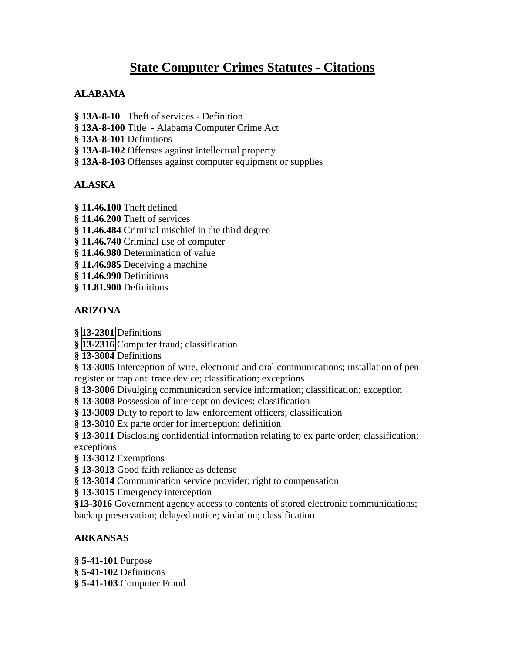# **State Computer Crimes Statutes - Citations**

# **ALABAMA**

- **§ 13A-8-10** Theft of services Definition
- **§ 13A-8-100** Title Alabama Computer Crime Act
- **§ 13A-8-101** Definitions
- **§ 13A-8-102** Offenses against intellectual property
- **§ 13A-8-103** Offenses against computer equipment or supplies

# **ALASKA**

- **§ 11.46.100** Theft defined
- **§ 11.46.200** Theft of services
- **§ 11.46.484** Criminal mischief in the third degree
- **§ 11.46.740** Criminal use of computer
- **§ 11.46.980** Determination of value
- **§ 11.46.985** Deceiving a machine
- **§ 11.46.990** Definitions
- **§ 11.81.900** Definitions

# **ARIZONA**

- **§ [13-2301](http://www.azleg.state.az.us/ars/13/2301.htm)** Definitions
- **§ [13-2316](http://www.azleg.state.az.us/ars/13/2316.htm)** Computer fraud; classification
- **§ 13-3004** Definitions
- **§ 13-3005** Interception of wire, electronic and oral communications; installation of pen register or trap and trace device; classification; exceptions
- **§ 13-3006** Divulging communication service information; classification; exception
- **§ 13-3008** Possession of interception devices; classification
- **§ 13-3009** Duty to report to law enforcement officers; classification
- **§ 13-3010** Ex parte order for interception; definition
- **§ 13-3011** Disclosing confidential information relating to ex parte order; classification;
- exceptions
- **§ 13-3012** Exemptions
- **§ 13-3013** Good faith reliance as defense
- **§ 13-3014** Communication service provider; right to compensation
- **§ 13-3015** Emergency interception
- **§13-3016** Government agency access to contents of stored electronic communications; backup preservation; delayed notice; violation; classification

# **ARKANSAS**

**§ 5-41-101** Purpose **§ 5-41-102** Definitions **§ 5-41-103** Computer Fraud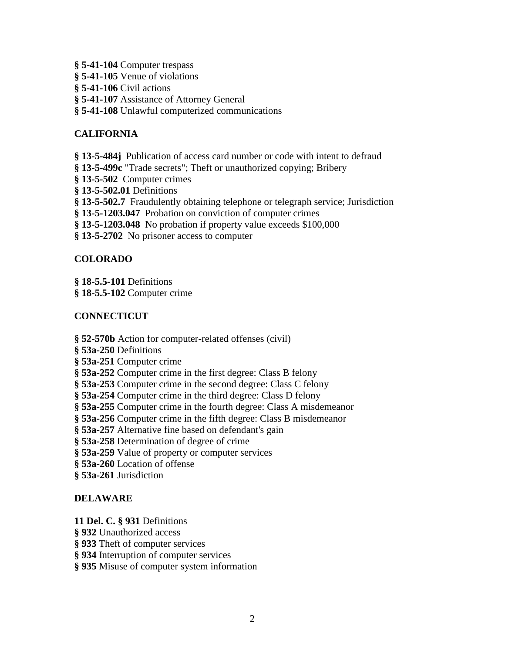- **§ 5-41-104** Computer trespass
- **§ 5-41-105** Venue of violations
- **§ 5-41-106** Civil actions
- **§ 5-41-107** Assistance of Attorney General
- **§ 5-41-108** Unlawful computerized communications

### **CALIFORNIA**

- **§ 13-5-484j** Publication of access card number or code with intent to defraud
- **§ 13-5-499c** "Trade secrets"; Theft or unauthorized copying; Bribery
- **§ 13-5-502** Computer crimes
- **§ 13-5-502.01** Definitions
- **§ 13-5-502.7** Fraudulently obtaining telephone or telegraph service; Jurisdiction
- **§ 13-5-1203.047** Probation on conviction of computer crimes
- **§ 13-5-1203.048** No probation if property value exceeds \$100,000
- **§ 13-5-2702** No prisoner access to computer

#### **COLORADO**

- **§ 18-5.5-101** Definitions
- **§ 18-5.5-102** Computer crime

#### **CONNECTICUT**

- **§ 52-570b** Action for computer-related offenses (civil)
- **§ 53a-250** Definitions
- **§ 53a-251** Computer crime
- **§ 53a-252** Computer crime in the first degree: Class B felony
- **§ 53a-253** Computer crime in the second degree: Class C felony
- **§ 53a-254** Computer crime in the third degree: Class D felony
- **§ 53a-255** Computer crime in the fourth degree: Class A misdemeanor
- **§ 53a-256** Computer crime in the fifth degree: Class B misdemeanor
- **§ 53a-257** Alternative fine based on defendant's gain
- **§ 53a-258** Determination of degree of crime
- **§ 53a-259** Value of property or computer services
- **§ 53a-260** Location of offense
- **§ 53a-261** Jurisdiction

#### **DELAWARE**

**11 Del. C. § 931** Definitions

- **§ 932** Unauthorized access
- **§ 933** Theft of computer services
- **§ 934** Interruption of computer services
- **§ 935** Misuse of computer system information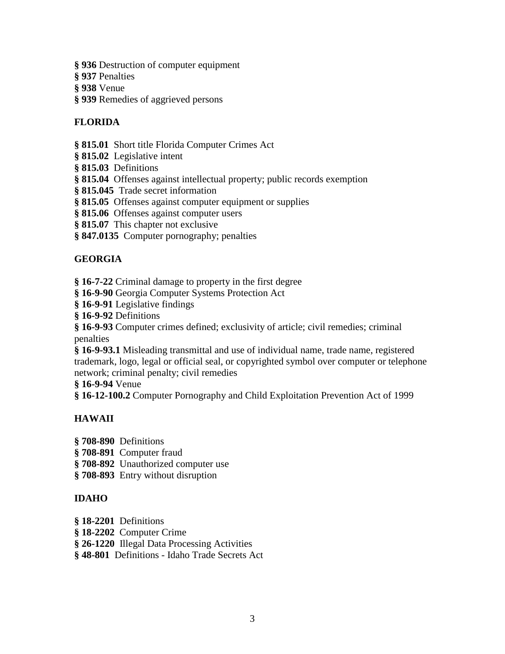- **§ 936** Destruction of computer equipment
- **§ 937** Penalties
- **§ 938** Venue
- **§ 939** Remedies of aggrieved persons

### **FLORIDA**

**§ 815.01** Short title Florida Computer Crimes Act

- **§ 815.02** Legislative intent
- **§ 815.03** Definitions
- **§ 815.04** Offenses against intellectual property; public records exemption
- **§ 815.045** Trade secret information
- **§ 815.05** Offenses against computer equipment or supplies
- **§ 815.06** Offenses against computer users
- **§ 815.07** This chapter not exclusive
- **§ 847.0135** Computer pornography; penalties

# **GEORGIA**

**§ 16-7-22** Criminal damage to property in the first degree

- **§ 16-9-90** Georgia Computer Systems Protection Act
- **§ 16-9-91** Legislative findings
- **§ 16-9-92** Definitions

**§ 16-9-93** Computer crimes defined; exclusivity of article; civil remedies; criminal penalties

**§ 16-9-93.1** Misleading transmittal and use of individual name, trade name, registered trademark, logo, legal or official seal, or copyrighted symbol over computer or telephone network; criminal penalty; civil remedies

**§ 16-9-94** Venue

**§ 16-12-100.2** Computer Pornography and Child Exploitation Prevention Act of 1999

#### **HAWAII**

- **§ 708-890** Definitions
- **§ 708-891** Computer fraud
- **§ 708-892** Unauthorized computer use
- **§ 708-893** Entry without disruption

#### **IDAHO**

- **§ 18-2201** Definitions
- **§ 18-2202** Computer Crime
- **§ 26-1220** Illegal Data Processing Activities
- **§ 48-801** Definitions Idaho Trade Secrets Act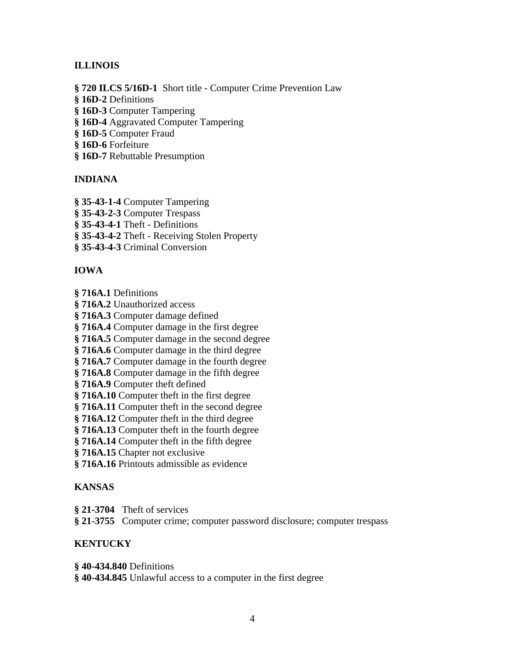# **ILLINOIS**

**§ 720 ILCS 5/16D-1** Short title - Computer Crime Prevention Law **§ 16D-2** Definitions **§ 16D-3** Computer Tampering **§ 16D-4** Aggravated Computer Tampering **§ 16D-5** Computer Fraud **§ 16D-6** Forfeiture

**§ 16D-7** Rebuttable Presumption

#### **INDIANA**

- **§ 35-43-1-4** Computer Tampering
- **§ 35-43-2-3** Computer Trespass

**§ 35-43-4-1** Theft - Definitions

**§ 35-43-4-2** Theft - Receiving Stolen Property

**§ 35-43-4-3** Criminal Conversion

#### **IOWA**

**§ 716A.1** Definitions

**§ 716A.2** Unauthorized access

**§ 716A.3** Computer damage defined

**§ 716A.4** Computer damage in the first degree

**§ 716A.5** Computer damage in the second degree

**§ 716A.6** Computer damage in the third degree

**§ 716A.7** Computer damage in the fourth degree

**§ 716A.8** Computer damage in the fifth degree

**§ 716A.9** Computer theft defined

**§ 716A.10** Computer theft in the first degree

**§ 716A.11** Computer theft in the second degree

**§ 716A.12** Computer theft in the third degree

**§ 716A.13** Computer theft in the fourth degree

**§ 716A.14** Computer theft in the fifth degree

**§ 716A.15** Chapter not exclusive

**§ 716A.16** Printouts admissible as evidence

#### **KANSAS**

**§ 21-3704** Theft of services

**§ 21-3755** Computer crime; computer password disclosure; computer trespass

#### **KENTUCKY**

**§ 40-434.840** Definitions

**§ 40-434.845** Unlawful access to a computer in the first degree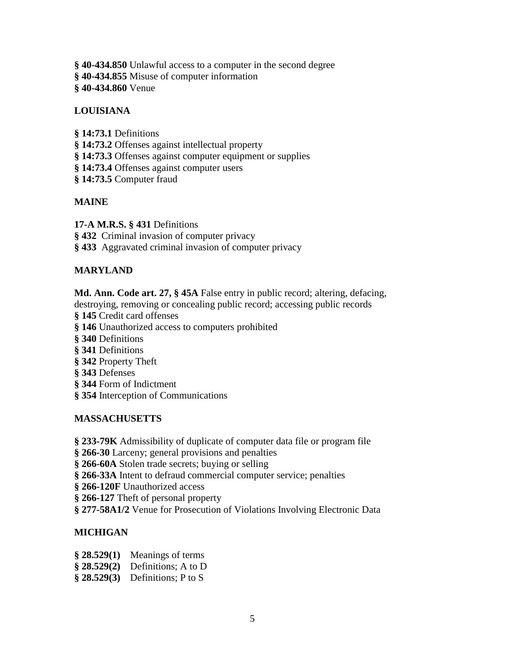- **§ 40-434.850** Unlawful access to a computer in the second degree
- **§ 40-434.855** Misuse of computer information
- **§ 40-434.860** Venue

# **LOUISIANA**

- **§ 14:73.1** Definitions
- **§ 14:73.2** Offenses against intellectual property
- **§ 14:73.3** Offenses against computer equipment or supplies
- **§ 14:73.4** Offenses against computer users
- **§ 14:73.5** Computer fraud

# **MAINE**

**17-A M.R.S. § 431** Definitions

**§ 432** Criminal invasion of computer privacy

**§ 433** Aggravated criminal invasion of computer privacy

# **MARYLAND**

**Md. Ann. Code art. 27, § 45A** False entry in public record; altering, defacing, destroying, removing or concealing public record; accessing public records

- **§ 145** Credit card offenses
- **§ 146** Unauthorized access to computers prohibited
- **§ 340** Definitions
- **§ 341** Definitions
- **§ 342** Property Theft
- **§ 343** Defenses
- **§ 344** Form of Indictment
- **§ 354** Interception of Communications

# **MASSACHUSETTS**

- **§ 233-79K** Admissibility of duplicate of computer data file or program file
- **§ 266-30** Larceny; general provisions and penalties
- **§ 266-60A** Stolen trade secrets; buying or selling
- **§ 266-33A** Intent to defraud commercial computer service; penalties
- § 266-120F Unauthorized access
- **§ 266-127** Theft of personal property
- **§ 277-58A1/2** Venue for Prosecution of Violations Involving Electronic Data

# **MICHIGAN**

- **§ 28.529(1)** Meanings of terms
- **§ 28.529(2)** Definitions; A to D
- **§ 28.529(3)** Definitions; P to S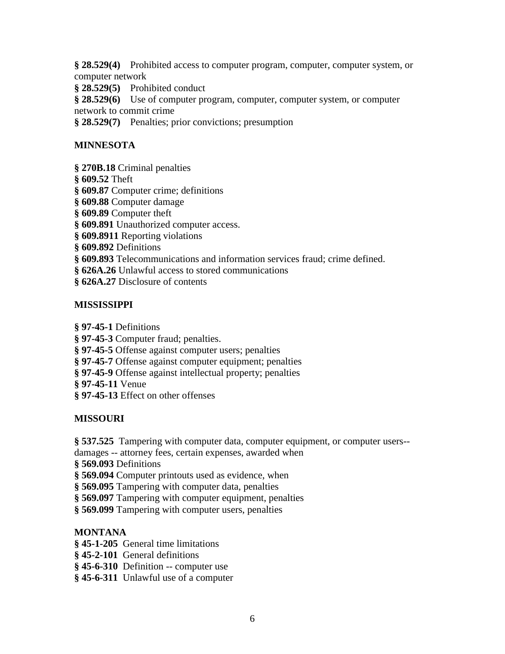**§ 28.529(4)** Prohibited access to computer program, computer, computer system, or computer network

**§ 28.529(5)** Prohibited conduct

**§ 28.529(6)** Use of computer program, computer, computer system, or computer network to commit crime

**§ 28.529(7)** Penalties; prior convictions; presumption

# **MINNESOTA**

**§ 270B.18** Criminal penalties

**§ 609.52** Theft

**§ 609.87** Computer crime; definitions

**§ 609.88** Computer damage

**§ 609.89** Computer theft

**§ 609.891** Unauthorized computer access.

**§ 609.8911** Reporting violations

**§ 609.892** Definitions

**§ 609.893** Telecommunications and information services fraud; crime defined.

**§ 626A.26** Unlawful access to stored communications

**§ 626A.27** Disclosure of contents

#### **MISSISSIPPI**

**§ 97-45-1** Definitions

**§ 97-45-3** Computer fraud; penalties.

**§ 97-45-5** Offense against computer users; penalties

- **§ 97-45-7** Offense against computer equipment; penalties
- **§ 97-45-9** Offense against intellectual property; penalties

**§ 97-45-11** Venue

**§ 97-45-13** Effect on other offenses

#### **MISSOURI**

**§ 537.525** Tampering with computer data, computer equipment, or computer users--

damages -- attorney fees, certain expenses, awarded when

**§ 569.093** Definitions

**§ 569.094** Computer printouts used as evidence, when

**§ 569.095** Tampering with computer data, penalties

**§ 569.097** Tampering with computer equipment, penalties

**§ 569.099** Tampering with computer users, penalties

#### **MONTANA**

- **§ 45-1-205** General time limitations
- **§ 45-2-101** General definitions

**§ 45-6-310** Definition -- computer use

**§ 45-6-311** Unlawful use of a computer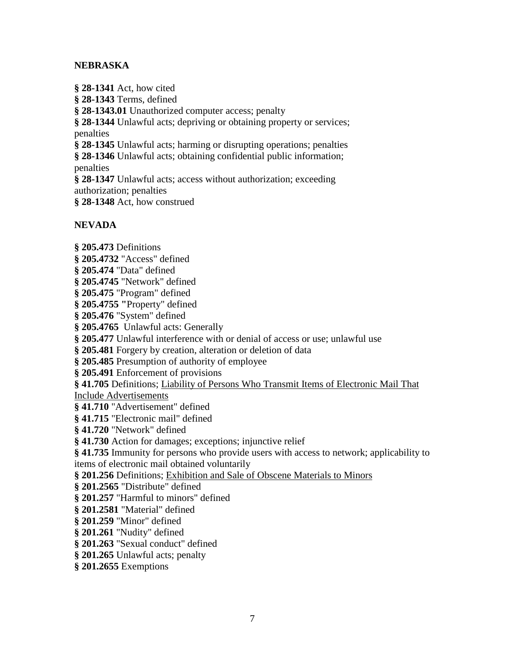#### **NEBRASKA**

**§ 28-1341** Act, how cited **§ 28-1343** Terms, defined **§ 28-1343.01** Unauthorized computer access; penalty **§ 28-1344** Unlawful acts; depriving or obtaining property or services; penalties **§ 28-1345** Unlawful acts; harming or disrupting operations; penalties **§ 28-1346** Unlawful acts; obtaining confidential public information; penalties **§ 28-1347** Unlawful acts; access without authorization; exceeding authorization; penalties **§ 28-1348** Act, how construed **NEVADA § 205.473** Definitions

**§ 205.4732** "Access" defined **§ 205.474** "Data" defined **§ 205.4745** "Network" defined **§ 205.475** "Program" defined **§ 205.4755 "**Property" defined **§ 205.476** "System" defined **§ 205.4765** Unlawful acts: Generally **§ 205.477** Unlawful interference with or denial of access or use; unlawful use **§ 205.481** Forgery by creation, alteration or deletion of data **§ 205.485** Presumption of authority of employee **§ 205.491** Enforcement of provisions **§ 41.705** Definitions; Liability of Persons Who Transmit Items of Electronic Mail That Include Advertisements **§ 41.710** "Advertisement" defined **§ 41.715** "Electronic mail" defined **§ 41.720** "Network" defined **§ 41.730** Action for damages; exceptions; injunctive relief **§ 41.735** Immunity for persons who provide users with access to network; applicability to items of electronic mail obtained voluntarily **§ 201.256** Definitions; Exhibition and Sale of Obscene Materials to Minors **§ 201.2565** "Distribute" defined **§ 201.257** "Harmful to minors" defined **§ 201.2581** "Material" defined **§ 201.259** "Minor" defined **§ 201.261** "Nudity" defined **§ 201.263** "Sexual conduct" defined **§ 201.265** Unlawful acts; penalty

**§ 201.2655** Exemptions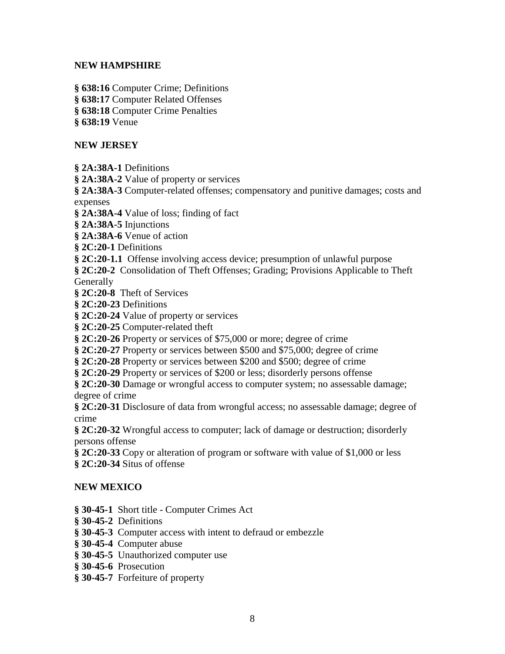#### **NEW HAMPSHIRE**

**§ 638:16** Computer Crime; Definitions

**§ 638:17** Computer Related Offenses

**§ 638:18** Computer Crime Penalties

**§ 638:19** Venue

#### **NEW JERSEY**

**§ 2A:38A-1** Definitions

**§ 2A:38A-2** Value of property or services

**§ 2A:38A-3** Computer-related offenses; compensatory and punitive damages; costs and expenses

**§ 2A:38A-4** Value of loss; finding of fact

**§ 2A:38A-5** Injunctions

**§ 2A:38A-6** Venue of action

**§ 2C:20-1** Definitions

**§ 2C:20-1.1** Offense involving access device; presumption of unlawful purpose

**§ 2C:20-2** Consolidation of Theft Offenses; Grading; Provisions Applicable to Theft **Generally** 

**§ 2C:20-8** Theft of Services

**§ 2C:20-23** Definitions

**§ 2C:20-24** Value of property or services

**§ 2C:20-25** Computer-related theft

**§ 2C:20-26** Property or services of \$75,000 or more; degree of crime

**§ 2C:20-27** Property or services between \$500 and \$75,000; degree of crime

**§ 2C:20-28** Property or services between \$200 and \$500; degree of crime

**§ 2C:20-29** Property or services of \$200 or less; disorderly persons offense

**§ 2C:20-30** Damage or wrongful access to computer system; no assessable damage; degree of crime

**§ 2C:20-31** Disclosure of data from wrongful access; no assessable damage; degree of crime

**§ 2C:20-32** Wrongful access to computer; lack of damage or destruction; disorderly persons offense

**§ 2C:20-33** Copy or alteration of program or software with value of \$1,000 or less **§ 2C:20-34** Situs of offense

#### **NEW MEXICO**

**§ 30-45-1** Short title - Computer Crimes Act

**§ 30-45-2** Definitions

**§ 30-45-3** Computer access with intent to defraud or embezzle

**§ 30-45-4** Computer abuse

**§ 30-45-5** Unauthorized computer use

**§ 30-45-6** Prosecution

**§ 30-45-7** Forfeiture of property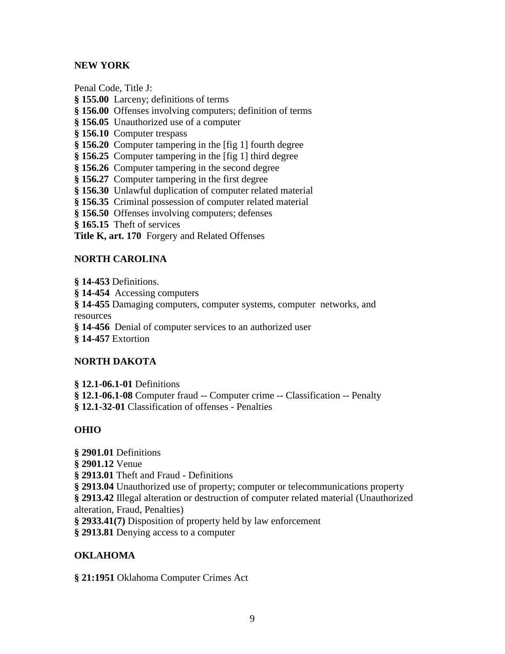# **NEW YORK**

Penal Code, Title J:

**§ 155.00** Larceny; definitions of terms

**§ 156.00** Offenses involving computers; definition of terms

**§ 156.05** Unauthorized use of a computer

**§ 156.10** Computer trespass

**§ 156.20** Computer tampering in the [fig 1] fourth degree

**§ 156.25** Computer tampering in the [fig 1] third degree

**§ 156.26** Computer tampering in the second degree

**§ 156.27** Computer tampering in the first degree

**§ 156.30** Unlawful duplication of computer related material

**§ 156.35** Criminal possession of computer related material

**§ 156.50** Offenses involving computers; defenses

**§ 165.15** Theft of services

**Title K, art. 170** Forgery and Related Offenses

#### **NORTH CAROLINA**

**§ 14-453** Definitions.

**§ 14-454** Accessing computers

**§ 14-455** Damaging computers, computer systems, computer networks, and resources

**§ 14-456** Denial of computer services to an authorized user

**§ 14-457** Extortion

#### **NORTH DAKOTA**

**§ 12.1-06.1-01** Definitions **§ 12.1-06.1-08** Computer fraud -- Computer crime -- Classification -- Penalty **§ 12.1-32-01** Classification of offenses - Penalties

#### **OHIO**

**§ 2901.01** Definitions

**§ 2901.12** Venue

**§ 2913.01** Theft and Fraud - Definitions

**§ 2913.04** Unauthorized use of property; computer or telecommunications property

**§ 2913.42** Illegal alteration or destruction of computer related material (Unauthorized alteration, Fraud, Penalties)

**§ 2933.41(7)** Disposition of property held by law enforcement

**§ 2913.81** Denying access to a computer

# **OKLAHOMA**

**§ 21:1951** Oklahoma Computer Crimes Act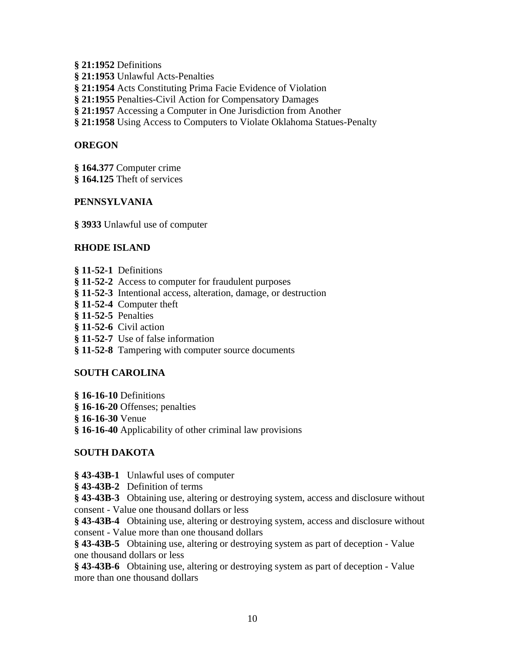- **§ 21:1952** Definitions
- **§ 21:1953** Unlawful Acts-Penalties
- **§ 21:1954** Acts Constituting Prima Facie Evidence of Violation
- **§ 21:1955** Penalties-Civil Action for Compensatory Damages
- **§ 21:1957** Accessing a Computer in One Jurisdiction from Another
- **§ 21:1958** Using Access to Computers to Violate Oklahoma Statues-Penalty

### **OREGON**

- **§ 164.377** Computer crime
- **§ 164.125** Theft of services

#### **PENNSYLVANIA**

**§ 3933** Unlawful use of computer

# **RHODE ISLAND**

- **§ 11-52-1** Definitions
- **§ 11-52-2** Access to computer for fraudulent purposes
- **§ 11-52-3** Intentional access, alteration, damage, or destruction
- **§ 11-52-4** Computer theft
- **§ 11-52-5** Penalties
- **§ 11-52-6** Civil action
- **§ 11-52-7** Use of false information
- **§ 11-52-8** Tampering with computer source documents

#### **SOUTH CAROLINA**

- **§ 16-16-10** Definitions
- **§ 16-16-20** Offenses; penalties
- **§ 16-16-30** Venue
- **§ 16-16-40** Applicability of other criminal law provisions

#### **SOUTH DAKOTA**

- **§ 43-43B-1** Unlawful uses of computer
- **§ 43-43B-2** Definition of terms

**§ 43-43B-3** Obtaining use, altering or destroying system, access and disclosure without consent - Value one thousand dollars or less

**§ 43-43B-4** Obtaining use, altering or destroying system, access and disclosure without consent - Value more than one thousand dollars

**§ 43-43B-5** Obtaining use, altering or destroying system as part of deception - Value one thousand dollars or less

**§ 43-43B-6** Obtaining use, altering or destroying system as part of deception - Value more than one thousand dollars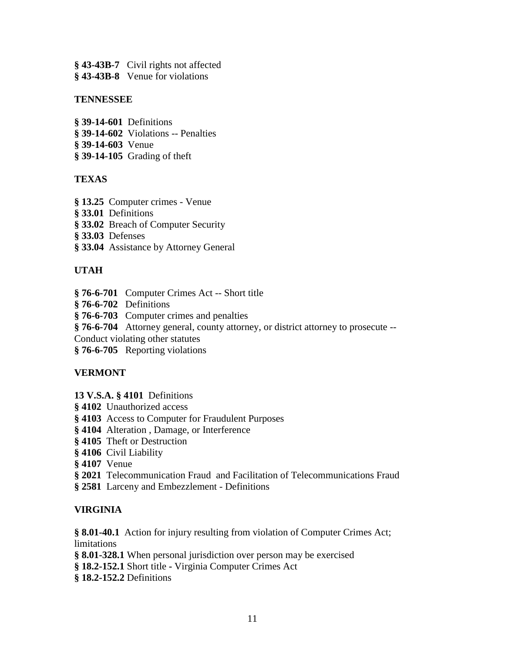- **§ 43-43B-7** Civil rights not affected
- **§ 43-43B-8** Venue for violations

#### **TENNESSEE**

- **§ 39-14-601** Definitions
- **§ 39-14-602** Violations -- Penalties
- **§ 39-14-603** Venue
- **§ 39-14-105** Grading of theft

# **TEXAS**

- **§ 13.25** Computer crimes Venue
- **§ 33.01** Definitions
- **§ 33.02** Breach of Computer Security
- **§ 33.03** Defenses
- **§ 33.04** Assistance by Attorney General

# **UTAH**

- **§ 76-6-701** Computer Crimes Act -- Short title
- **§ 76-6-702** Definitions
- **§ 76-6-703** Computer crimes and penalties
- **§ 76-6-704** Attorney general, county attorney, or district attorney to prosecute --
- Conduct violating other statutes
- **§ 76-6-705** Reporting violations

#### **VERMONT**

- **13 V.S.A. § 4101** Definitions
- **§ 4102** Unauthorized access
- **§ 4103** Access to Computer for Fraudulent Purposes
- **§ 4104** Alteration , Damage, or Interference
- **§ 4105** Theft or Destruction
- **§ 4106** Civil Liability
- **§ 4107** Venue
- **§ 2021** Telecommunication Fraud and Facilitation of Telecommunications Fraud
- **§ 2581** Larceny and Embezzlement Definitions

# **VIRGINIA**

**§ 8.01-40.1** Action for injury resulting from violation of Computer Crimes Act; limitations

- **§ 8.01-328.1** When personal jurisdiction over person may be exercised
- **§ 18.2-152.1** Short titleVirginia Computer Crimes Act
- **§ 18.2-152.2** Definitions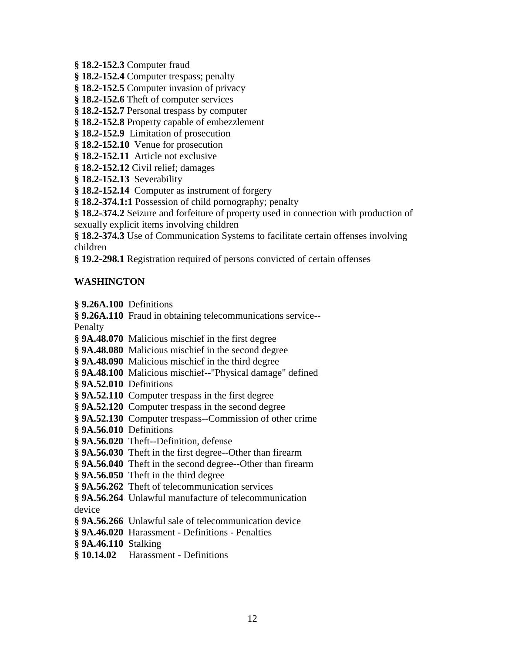**§ 18.2-152.3** Computer fraud

**§ 18.2-152.4** Computer trespass; penalty

**§ 18.2-152.5** Computer invasion of privacy

**§ 18.2-152.6** Theft of computer services

**§ 18.2-152.7** Personal trespass by computer

**§ 18.2-152.8** Property capable of embezzlement

**§ 18.2-152.9** Limitation of prosecution

**§ 18.2-152.10** Venue for prosecution

**§ 18.2-152.11** Article not exclusive

**§ 18.2-152.12** Civil relief; damages

**§ 18.2-152.13** Severability

**§ 18.2-152.14** Computer as instrument of forgery

**§ 18.2-374.1:1** Possession of child pornography; penalty

**§ 18.2-374.2** Seizure and forfeiture of property used in connection with production of sexually explicit items involving children

**§ 18.2-374.3** Use of Communication Systems to facilitate certain offenses involving children

**§ 19.2-298.1** Registration required of persons convicted of certain offenses

#### **WASHINGTON**

**§ 9.26A.100** Definitions

**§ 9.26A.110** Fraud in obtaining telecommunications service--

Penalty

- **§ 9A.48.070** Malicious mischief in the first degree
- **§ 9A.48.080** Malicious mischief in the second degree
- **§ 9A.48.090** Malicious mischief in the third degree
- **§ 9A.48.100** Malicious mischief--"Physical damage" defined
- **§ 9A.52.010** Definitions
- **§ 9A.52.110** Computer trespass in the first degree
- **§ 9A.52.120** Computer trespass in the second degree
- **§ 9A.52.130** Computer trespass--Commission of other crime
- **§ 9A.56.010** Definitions
- **§ 9A.56.020** Theft--Definition, defense
- **§ 9A.56.030** Theft in the first degree--Other than firearm
- **§ 9A.56.040** Theft in the second degree--Other than firearm
- **§ 9A.56.050** Theft in the third degree
- **§ 9A.56.262** Theft of telecommunication services

**§ 9A.56.264** Unlawful manufacture of telecommunication device

- **§ 9A.56.266** Unlawful sale of telecommunication device
- **§ 9A.46.020** Harassment Definitions Penalties
- **§ 9A.46.110** Stalking
- **§ 10.14.02** Harassment Definitions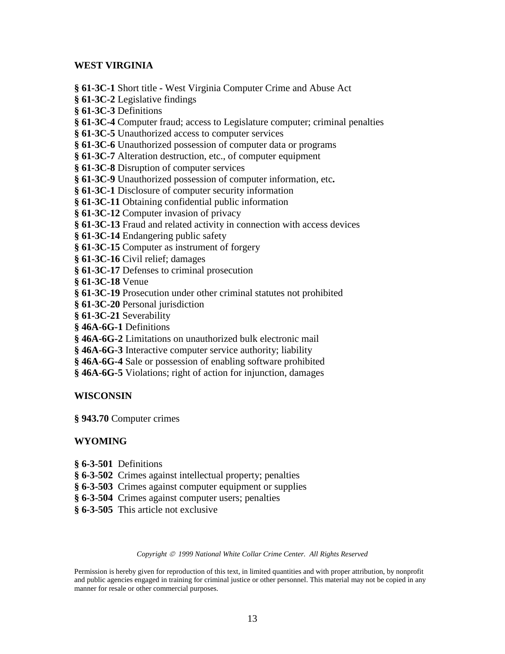#### **WEST VIRGINIA**

**§ 61-3C-1** Short title **-** West Virginia Computer Crime and Abuse Act

**§ 61-3C-2** Legislative findings

**§ 61-3C-3** Definitions

**§ 61-3C-4** Computer fraud; access to Legislature computer; criminal penalties

**§ 61-3C-5** Unauthorized access to computer services

**§ 61-3C-6** Unauthorized possession of computer data or programs

**§ 61-3C-7** Alteration destruction, etc., of computer equipment

**§ 61-3C-8** Disruption of computer services

**§ 61-3C-9** Unauthorized possession of computer information, etc**.**

**§ 61-3C-1** Disclosure of computer security information

**§ 61-3C-11** Obtaining confidential public information

**§ 61-3C-12** Computer invasion of privacy

**§ 61-3C-13** Fraud and related activity in connection with access devices

**§ 61-3C-14** Endangering public safety

**§ 61-3C-15** Computer as instrument of forgery

**§ 61-3C-16** Civil relief; damages

**§ 61-3C-17** Defenses to criminal prosecution

**§ 61-3C-18** Venue

**§ 61-3C-19** Prosecution under other criminal statutes not prohibited

**§ 61-3C-20** Personal jurisdiction

**§ 61-3C-21** Severability

**§ 46A-6G-1** Definitions

**§ 46A-6G-2** Limitations on unauthorized bulk electronic mail

**§ 46A-6G-3** Interactive computer service authority; liability

**§ 46A-6G-4** Sale or possession of enabling software prohibited

**§ 46A-6G-5** Violations; right of action for injunction, damages

#### **WISCONSIN**

**§ 943.70** Computer crimes

#### **WYOMING**

- **§ 6-3-501** Definitions
- **§ 6-3-502** Crimes against intellectual property; penalties
- **§ 6-3-503** Crimes against computer equipment or supplies
- **§ 6-3-504** Crimes against computer users; penalties
- **§ 6-3-505** This article not exclusive

#### *Copyright 1999 National White Collar Crime Center. All Rights Reserved*

Permission is hereby given for reproduction of this text, in limited quantities and with proper attribution, by nonprofit and public agencies engaged in training for criminal justice or other personnel. This material may not be copied in any manner for resale or other commercial purposes.